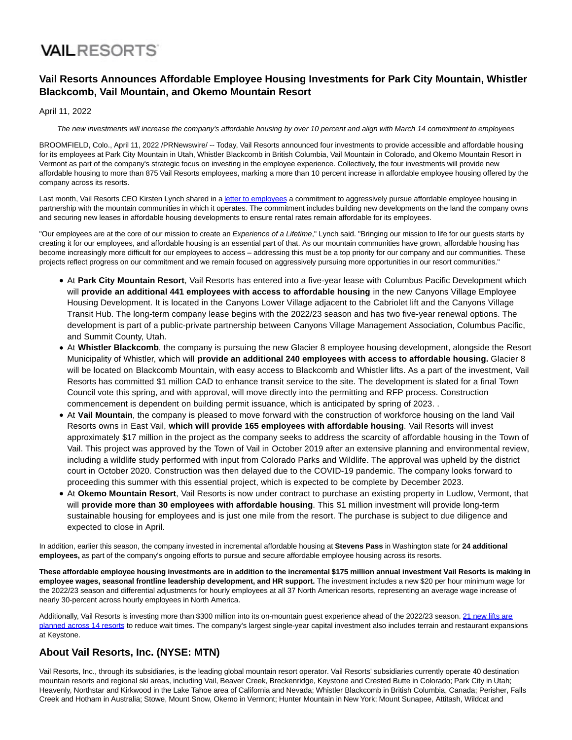## **VAILRESORTS**

#### **Vail Resorts Announces Affordable Employee Housing Investments for Park City Mountain, Whistler Blackcomb, Vail Mountain, and Okemo Mountain Resort**

April 11, 2022

The new investments will increase the company's affordable housing by over 10 percent and align with March 14 commitment to employees

BROOMFIELD, Colo., April 11, 2022 /PRNewswire/ -- Today, Vail Resorts announced four investments to provide accessible and affordable housing for its employees at Park City Mountain in Utah, Whistler Blackcomb in British Columbia, Vail Mountain in Colorado, and Okemo Mountain Resort in Vermont as part of the company's strategic focus on investing in the employee experience. Collectively, the four investments will provide new affordable housing to more than 875 Vail Resorts employees, marking a more than 10 percent increase in affordable employee housing offered by the company across its resorts.

Last month, Vail Resorts CEO Kirsten Lynch shared in [a letter to employees a](https://c212.net/c/link/?t=0&l=en&o=3501368-1&h=112649253&u=https%3A%2F%2Fnews.vailresorts.com%2Fcorporate%2Fletter-to-employees-new-direction.htm&a=letter+to+employees) commitment to aggressively pursue affordable employee housing in partnership with the mountain communities in which it operates. The commitment includes building new developments on the land the company owns and securing new leases in affordable housing developments to ensure rental rates remain affordable for its employees.

"Our employees are at the core of our mission to create an Experience of a Lifetime," Lynch said. "Bringing our mission to life for our guests starts by creating it for our employees, and affordable housing is an essential part of that. As our mountain communities have grown, affordable housing has become increasingly more difficult for our employees to access – addressing this must be a top priority for our company and our communities. These projects reflect progress on our commitment and we remain focused on aggressively pursuing more opportunities in our resort communities."

- At **Park City Mountain Resort**, Vail Resorts has entered into a five-year lease with Columbus Pacific Development which will **provide an additional 441 employees with access to affordable housing** in the new Canyons Village Employee Housing Development. It is located in the Canyons Lower Village adjacent to the Cabriolet lift and the Canyons Village Transit Hub. The long-term company lease begins with the 2022/23 season and has two five-year renewal options. The development is part of a public-private partnership between Canyons Village Management Association, Columbus Pacific, and Summit County, Utah.
- At **Whistler Blackcomb**, the company is pursuing the new Glacier 8 employee housing development, alongside the Resort Municipality of Whistler, which will **provide an additional 240 employees with access to affordable housing.** Glacier 8 will be located on Blackcomb Mountain, with easy access to Blackcomb and Whistler lifts. As a part of the investment, Vail Resorts has committed \$1 million CAD to enhance transit service to the site. The development is slated for a final Town Council vote this spring, and with approval, will move directly into the permitting and RFP process. Construction commencement is dependent on building permit issuance, which is anticipated by spring of 2023. .
- At **Vail Mountain**, the company is pleased to move forward with the construction of workforce housing on the land Vail Resorts owns in East Vail, **which will provide 165 employees with affordable housing**. Vail Resorts will invest approximately \$17 million in the project as the company seeks to address the scarcity of affordable housing in the Town of Vail. This project was approved by the Town of Vail in October 2019 after an extensive planning and environmental review, including a wildlife study performed with input from Colorado Parks and Wildlife. The approval was upheld by the district court in October 2020. Construction was then delayed due to the COVID-19 pandemic. The company looks forward to proceeding this summer with this essential project, which is expected to be complete by December 2023.
- At **Okemo Mountain Resort**, Vail Resorts is now under contract to purchase an existing property in Ludlow, Vermont, that will **provide more than 30 employees with affordable housing**. This \$1 million investment will provide long-term sustainable housing for employees and is just one mile from the resort. The purchase is subject to due diligence and expected to close in April.

In addition, earlier this season, the company invested in incremental affordable housing at **Stevens Pass** in Washington state for **24 additional employees,** as part of the company's ongoing efforts to pursue and secure affordable employee housing across its resorts.

**These affordable employee housing investments are in addition to the incremental \$175 million annual investment Vail Resorts is making in employee wages, seasonal frontline leadership development, and HR support.** The investment includes a new \$20 per hour minimum wage for the 2022/23 season and differential adjustments for hourly employees at all 37 North American resorts, representing an average wage increase of nearly 30-percent across hourly employees in North America.

Additionally, Vail Resorts is investing more than \$300 million into its on-mountain guest experience ahead of the 2022/23 season. [21 new lifts are](https://c212.net/c/link/?t=0&l=en&o=3501368-1&h=1481176378&u=https%3A%2F%2Fwww.epicpass.com%2Fregion%2Fepic-lift-upgrades.aspx&a=21+new+lifts+are+planned+across+14+resorts) planned across 14 resorts to reduce wait times. The company's largest single-year capital investment also includes terrain and restaurant expansions at Keystone.

#### **About Vail Resorts, Inc. (NYSE: MTN)**

Vail Resorts, Inc., through its subsidiaries, is the leading global mountain resort operator. Vail Resorts' subsidiaries currently operate 40 destination mountain resorts and regional ski areas, including Vail, Beaver Creek, Breckenridge, Keystone and Crested Butte in Colorado; Park City in Utah; Heavenly, Northstar and Kirkwood in the Lake Tahoe area of California and Nevada; Whistler Blackcomb in British Columbia, Canada; Perisher, Falls Creek and Hotham in Australia; Stowe, Mount Snow, Okemo in Vermont; Hunter Mountain in New York; Mount Sunapee, Attitash, Wildcat and